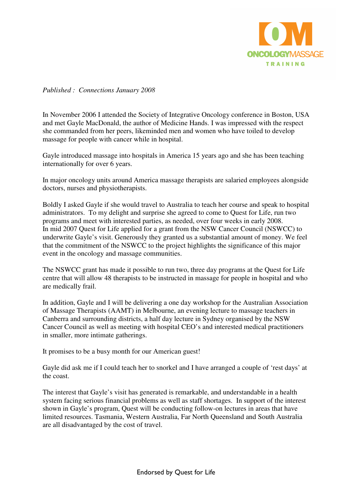

*Published : Connections January 2008* 

In November 2006 I attended the Society of Integrative Oncology conference in Boston, USA and met Gayle MacDonald, the author of Medicine Hands. I was impressed with the respect she commanded from her peers, likeminded men and women who have toiled to develop massage for people with cancer while in hospital.

Gayle introduced massage into hospitals in America 15 years ago and she has been teaching internationally for over 6 years.

In major oncology units around America massage therapists are salaried employees alongside doctors, nurses and physiotherapists.

Boldly I asked Gayle if she would travel to Australia to teach her course and speak to hospital administrators. To my delight and surprise she agreed to come to Quest for Life, run two programs and meet with interested parties, as needed, over four weeks in early 2008. In mid 2007 Quest for Life applied for a grant from the NSW Cancer Council (NSWCC) to underwrite Gayle's visit. Generously they granted us a substantial amount of money. We feel that the commitment of the NSWCC to the project highlights the significance of this major event in the oncology and massage communities.

The NSWCC grant has made it possible to run two, three day programs at the Quest for Life centre that will allow 48 therapists to be instructed in massage for people in hospital and who are medically frail.

In addition, Gayle and I will be delivering a one day workshop for the Australian Association of Massage Therapists (AAMT) in Melbourne, an evening lecture to massage teachers in Canberra and surrounding districts, a half day lecture in Sydney organised by the NSW Cancer Council as well as meeting with hospital CEO's and interested medical practitioners in smaller, more intimate gatherings.

It promises to be a busy month for our American guest!

Gayle did ask me if I could teach her to snorkel and I have arranged a couple of 'rest days' at the coast.

The interest that Gayle's visit has generated is remarkable, and understandable in a health system facing serious financial problems as well as staff shortages. In support of the interest shown in Gayle's program, Quest will be conducting follow-on lectures in areas that have limited resources. Tasmania, Western Australia, Far North Queensland and South Australia are all disadvantaged by the cost of travel.